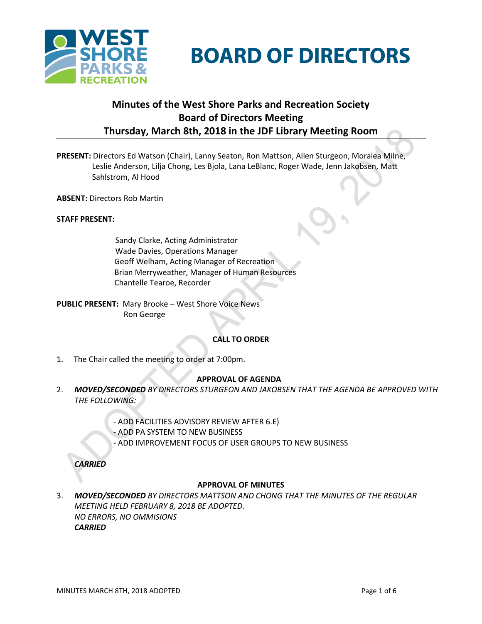

# **BOARD OF DIRECTORS**

## **Minutes of the West Shore Parks and Recreation Society Board of Directors Meeting Thursday, March 8th, 2018 in the JDF Library Meeting Room**

- **PRESENT:** Directors Ed Watson (Chair), Lanny Seaton, Ron Mattson, Allen Sturgeon, Moralea Milne, Leslie Anderson, Lilja Chong, Les Bjola, Lana LeBlanc, Roger Wade, Jenn Jakobsen, Matt Sahlstrom, Al Hood
- **ABSENT:** Directors Rob Martin

## **STAFF PRESENT:**

Sandy Clarke, Acting Administrator Wade Davies, Operations Manager Geoff Welham, Acting Manager of Recreation Brian Merryweather, Manager of Human Resources Chantelle Tearoe, Recorder

**PUBLIC PRESENT:** Mary Brooke – West Shore Voice News Ron George

## **CALL TO ORDER**

1. The Chair called the meeting to order at 7:00pm.

## **APPROVAL OF AGENDA**

- 2. *MOVED/SECONDED BY DIRECTORS STURGEON AND JAKOBSEN THAT THE AGENDA BE APPROVED WITH THE FOLLOWING:*
	- ADD FACILITIES ADVISORY REVIEW AFTER 6.E)
	- ADD PA SYSTEM TO NEW BUSINESS
	- ADD IMPROVEMENT FOCUS OF USER GROUPS TO NEW BUSINESS

*CARRIED*

## **APPROVAL OF MINUTES**

3. *MOVED/SECONDED BY DIRECTORS MATTSON AND CHONG THAT THE MINUTES OF THE REGULAR MEETING HELD FEBRUARY 8, 2018 BE ADOPTED. NO ERRORS, NO OMMISIONS CARRIED*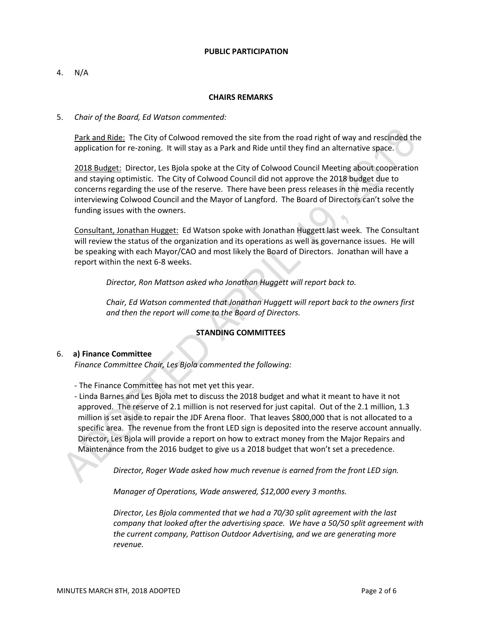#### **PUBLIC PARTICIPATION**

4. N/A

## **CHAIRS REMARKS**

5. *Chair of the Board, Ed Watson commented:*

Park and Ride: The City of Colwood removed the site from the road right of way and rescinded the application for re-zoning. It will stay as a Park and Ride until they find an alternative space.

2018 Budget: Director, Les Bjola spoke at the City of Colwood Council Meeting about cooperation and staying optimistic. The City of Colwood Council did not approve the 2018 budget due to concerns regarding the use of the reserve. There have been press releases in the media recently interviewing Colwood Council and the Mayor of Langford. The Board of Directors can't solve the funding issues with the owners.

Consultant, Jonathan Hugget: Ed Watson spoke with Jonathan Huggett last week. The Consultant will review the status of the organization and its operations as well as governance issues. He will be speaking with each Mayor/CAO and most likely the Board of Directors. Jonathan will have a report within the next 6-8 weeks.

*Director, Ron Mattson asked who Jonathan Huggett will report back to.*

*Chair, Ed Watson commented that Jonathan Huggett will report back to the owners first and then the report will come to the Board of Directors.*

## **STANDING COMMITTEES**

## 6. **a) Finance Committee**

*Finance Committee Chair, Les Bjola commented the following:*

- The Finance Committee has not met yet this year.

- Linda Barnes and Les Bjola met to discuss the 2018 budget and what it meant to have it not approved. The reserve of 2.1 million is not reserved for just capital. Out of the 2.1 million, 1.3 million is set aside to repair the JDF Arena floor. That leaves \$800,000 that is not allocated to a specific area. The revenue from the front LED sign is deposited into the reserve account annually. Director, Les Bjola will provide a report on how to extract money from the Major Repairs and Maintenance from the 2016 budget to give us a 2018 budget that won't set a precedence.

*Director, Roger Wade asked how much revenue is earned from the front LED sign.*

*Manager of Operations, Wade answered, \$12,000 every 3 months.*

*Director, Les Bjola commented that we had a 70/30 split agreement with the last company that looked after the advertising space. We have a 50/50 split agreement with the current company, Pattison Outdoor Advertising, and we are generating more revenue.*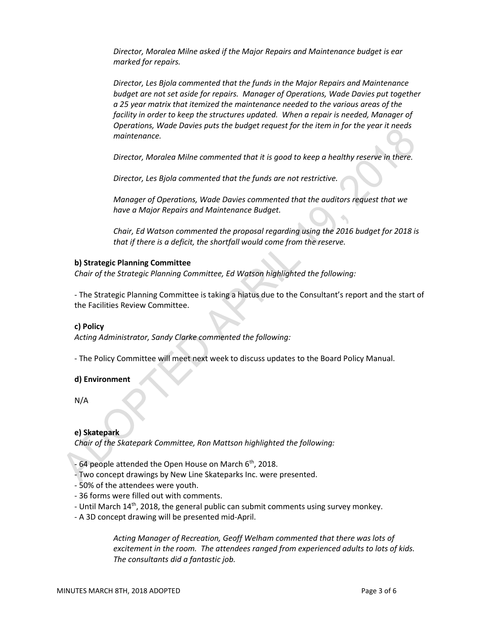*Director, Moralea Milne asked if the Major Repairs and Maintenance budget is ear marked for repairs.*

*Director, Les Bjola commented that the funds in the Major Repairs and Maintenance budget are not set aside for repairs. Manager of Operations, Wade Davies put together a 25 year matrix that itemized the maintenance needed to the various areas of the facility in order to keep the structures updated. When a repair is needed, Manager of Operations, Wade Davies puts the budget request for the item in for the year it needs maintenance.*

*Director, Moralea Milne commented that it is good to keep a healthy reserve in there.*

*Director, Les Bjola commented that the funds are not restrictive.*

*Manager of Operations, Wade Davies commented that the auditors request that we have a Major Repairs and Maintenance Budget.*

*Chair, Ed Watson commented the proposal regarding using the 2016 budget for 2018 is that if there is a deficit, the shortfall would come from the reserve.*

## **b) Strategic Planning Committee**

*Chair of the Strategic Planning Committee, Ed Watson highlighted the following:*

- The Strategic Planning Committee is taking a hiatus due to the Consultant's report and the start of the Facilities Review Committee.

## **c) Policy**

*Acting Administrator, Sandy Clarke commented the following:*

- The Policy Committee will meet next week to discuss updates to the Board Policy Manual.

## **d) Environment**

N/A

## **e) Skatepark**

*Chair of the Skatepark Committee, Ron Mattson highlighted the following:*

 $-64$  people attended the Open House on March  $6<sup>th</sup>$ , 2018.

- Two concept drawings by New Line Skateparks Inc. were presented.
- 50% of the attendees were youth.
- 36 forms were filled out with comments.
- Until March 14<sup>th</sup>, 2018, the general public can submit comments using survey monkey.
- A 3D concept drawing will be presented mid-April.

*Acting Manager of Recreation, Geoff Welham commented that there was lots of excitement in the room. The attendees ranged from experienced adults to lots of kids. The consultants did a fantastic job.*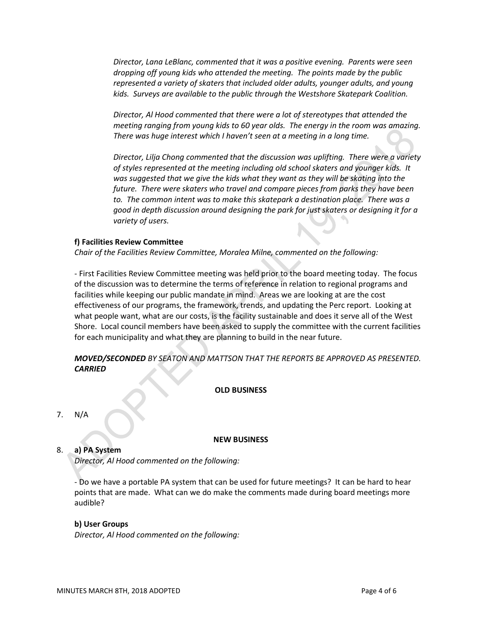*Director, Lana LeBlanc, commented that it was a positive evening. Parents were seen dropping off young kids who attended the meeting. The points made by the public represented a variety of skaters that included older adults, younger adults, and young kids. Surveys are available to the public through the Westshore Skatepark Coalition.* 

*Director, Al Hood commented that there were a lot of stereotypes that attended the meeting ranging from young kids to 60 year olds. The energy in the room was amazing. There was huge interest which I haven't seen at a meeting in a long time.*

*Director, Lilja Chong commented that the discussion was uplifting. There were a variety of styles represented at the meeting including old school skaters and younger kids. It was suggested that we give the kids what they want as they will be skating into the future. There were skaters who travel and compare pieces from parks they have been to. The common intent was to make this skatepark a destination place. There was a good in depth discussion around designing the park for just skaters or designing it for a variety of users.*

## **f) Facilities Review Committee**

*Chair of the Facilities Review Committee, Moralea Milne, commented on the following:*

- First Facilities Review Committee meeting was held prior to the board meeting today. The focus of the discussion was to determine the terms of reference in relation to regional programs and facilities while keeping our public mandate in mind. Areas we are looking at are the cost effectiveness of our programs, the framework, trends, and updating the Perc report. Looking at what people want, what are our costs, is the facility sustainable and does it serve all of the West Shore. Local council members have been asked to supply the committee with the current facilities for each municipality and what they are planning to build in the near future.

## *MOVED/SECONDED BY SEATON AND MATTSON THAT THE REPORTS BE APPROVED AS PRESENTED. CARRIED*

## **OLD BUSINESS**

#### 7. N/A

## **NEW BUSINESS**

## 8. **a) PA System**

*Director, Al Hood commented on the following:*

- Do we have a portable PA system that can be used for future meetings? It can be hard to hear points that are made. What can we do make the comments made during board meetings more audible?

## **b) User Groups**

*Director, Al Hood commented on the following:*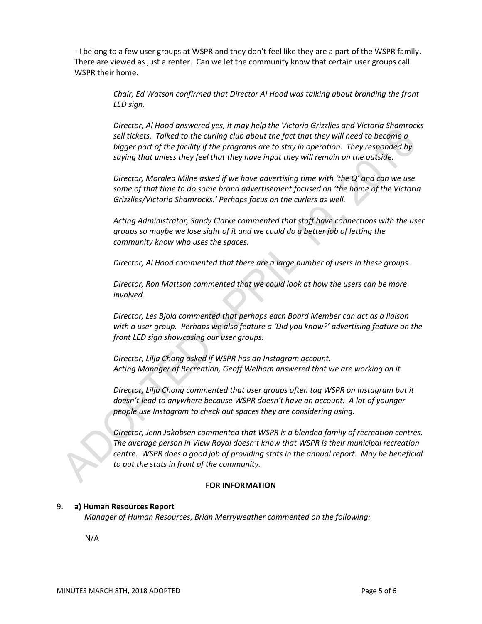- I belong to a few user groups at WSPR and they don't feel like they are a part of the WSPR family. There are viewed as just a renter. Can we let the community know that certain user groups call WSPR their home.

> *Chair, Ed Watson confirmed that Director Al Hood was talking about branding the front LED sign.*

*Director, Al Hood answered yes, it may help the Victoria Grizzlies and Victoria Shamrocks sell tickets. Talked to the curling club about the fact that they will need to become a bigger part of the facility if the programs are to stay in operation. They responded by saying that unless they feel that they have input they will remain on the outside.* 

*Director, Moralea Milne asked if we have advertising time with 'the Q' and can we use some of that time to do some brand advertisement focused on 'the home of the Victoria Grizzlies/Victoria Shamrocks.' Perhaps focus on the curlers as well.*

*Acting Administrator, Sandy Clarke commented that staff have connections with the user groups so maybe we lose sight of it and we could do a better job of letting the community know who uses the spaces.*

*Director, Al Hood commented that there are a large number of users in these groups.*

*Director, Ron Mattson commented that we could look at how the users can be more involved.*

*Director, Les Bjola commented that perhaps each Board Member can act as a liaison with a user group. Perhaps we also feature a 'Did you know?' advertising feature on the front LED sign showcasing our user groups.*

*Director, Lilja Chong asked if WSPR has an Instagram account. Acting Manager of Recreation, Geoff Welham answered that we are working on it.*

*Director, Lilja Chong commented that user groups often tag WSPR on Instagram but it doesn't lead to anywhere because WSPR doesn't have an account. A lot of younger people use Instagram to check out spaces they are considering using.*

*Director, Jenn Jakobsen commented that WSPR is a blended family of recreation centres. The average person in View Royal doesn't know that WSPR is their municipal recreation centre. WSPR does a good job of providing stats in the annual report. May be beneficial to put the stats in front of the community.*

## **FOR INFORMATION**

## 9. **a) Human Resources Report**

*Manager of Human Resources, Brian Merryweather commented on the following:*

N/A